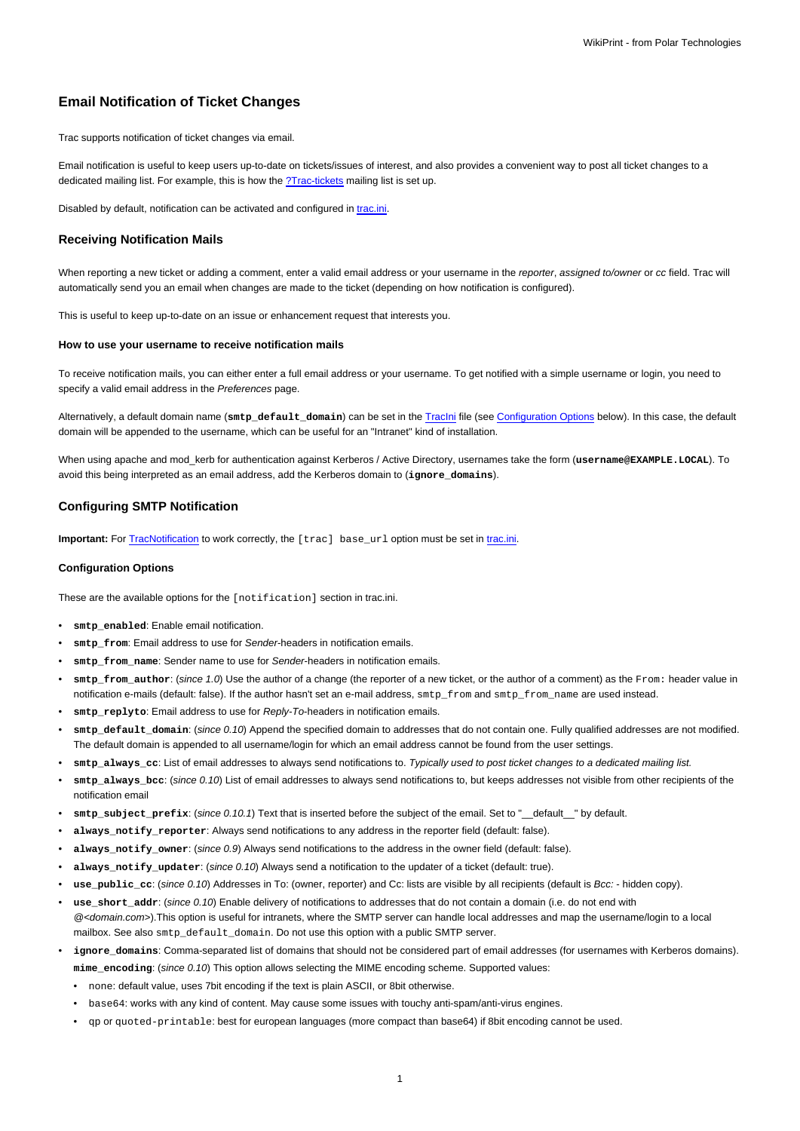# **Email Notification of Ticket Changes**

Trac supports notification of ticket changes via email.

Email notification is useful to keep users up-to-date on tickets/issues of interest, and also provides a convenient way to post all ticket changes to a dedicated mailing list. For example, this is how the [?Trac-tickets](http://lists.edgewall.com/archive/trac-tickets/) mailing list is set up.

Disabled by default, notification can be activated and configured in [trac.ini.](https://meteo.unican.es/trac/wiki/TracIni)

## **Receiving Notification Mails**

When reporting a new ticket or adding a comment, enter a valid email address or your username in the reporter, assigned to/owner or cc field. Trac will automatically send you an email when changes are made to the ticket (depending on how notification is configured).

This is useful to keep up-to-date on an issue or enhancement request that interests you.

#### **How to use your username to receive notification mails**

To receive notification mails, you can either enter a full email address or your username. To get notified with a simple username or login, you need to specify a valid email address in the Preferences page.

Alternatively, a default domain name (**smtp\_default\_domain**) can be set in the [TracIni](https://meteo.unican.es/trac/wiki/TracIni) file (see [Configuration Options](https://meteo.unican.es/trac/wiki/TracNotification#ConfigurationOptions) below). In this case, the default domain will be appended to the username, which can be useful for an "Intranet" kind of installation.

When using apache and mod\_kerb for authentication against Kerberos / Active Directory, usernames take the form (username@EXAMPLE.LOCAL). To avoid this being interpreted as an email address, add the Kerberos domain to (**ignore\_domains**).

# **Configuring SMTP Notification**

**Important:** For [TracNotification](https://meteo.unican.es/trac/wiki/TracNotification) to work correctly, the [trac] base url option must be set in [trac.ini](https://meteo.unican.es/trac/wiki/TracIni).

### **Configuration Options**

These are the available options for the [notification] section in trac.ini.

- smtp\_enabled: Enable email notification.
- smtp\_from: Email address to use for Sender-headers in notification emails.
- smtp from name: Sender name to use for Sender-headers in notification emails.
- **smtp\_from\_author**: (since 1.0) Use the author of a change (the reporter of a new ticket, or the author of a comment) as the From: header value in notification e-mails (default: false). If the author hasn't set an e-mail address, smtp\_from and smtp\_from\_name are used instead.
- smtp\_replyto: Email address to use for Reply-To-headers in notification emails.
- smtp\_default\_domain: (since 0.10) Append the specified domain to addresses that do not contain one. Fully qualified addresses are not modified. The default domain is appended to all username/login for which an email address cannot be found from the user settings.
- **smtp\_always\_cc**: List of email addresses to always send notifications to. Typically used to post ticket changes to a dedicated mailing list.
- **smtp\_always\_bcc**: (since 0.10) List of email addresses to always send notifications to, but keeps addresses not visible from other recipients of the notification email
- **smtp\_subject\_prefix**: (since 0.10.1) Text that is inserted before the subject of the email. Set to "\_\_default\_\_" by default.
- **always\_notify\_reporter**: Always send notifications to any address in the reporter field (default: false).
- always notify owner: (since 0.9) Always send notifications to the address in the owner field (default: false).
- **always\_notify\_updater**: (since 0.10) Always send a notification to the updater of a ticket (default: true).
- **use\_public\_cc**: (since 0.10) Addresses in To: (owner, reporter) and Cc: lists are visible by all recipients (default is Bcc: hidden copy).
- use short addr: (since 0.10) Enable delivery of notifications to addresses that do not contain a domain (i.e. do not end with  $@$ <domain.com>).This option is useful for intranets, where the SMTP server can handle local addresses and map the username/login to a local mailbox. See also smtp\_default\_domain. Do not use this option with a public SMTP server.
- ignore domains: Comma-separated list of domains that should not be considered part of email addresses (for usernames with Kerberos domains). **mime\_encoding**: (since 0.10) This option allows selecting the MIME encoding scheme. Supported values:
	- none: default value, uses 7bit encoding if the text is plain ASCII, or 8bit otherwise.
	- base64: works with any kind of content. May cause some issues with touchy anti-spam/anti-virus engines.
	- qp or quoted-printable: best for european languages (more compact than base64) if 8bit encoding cannot be used.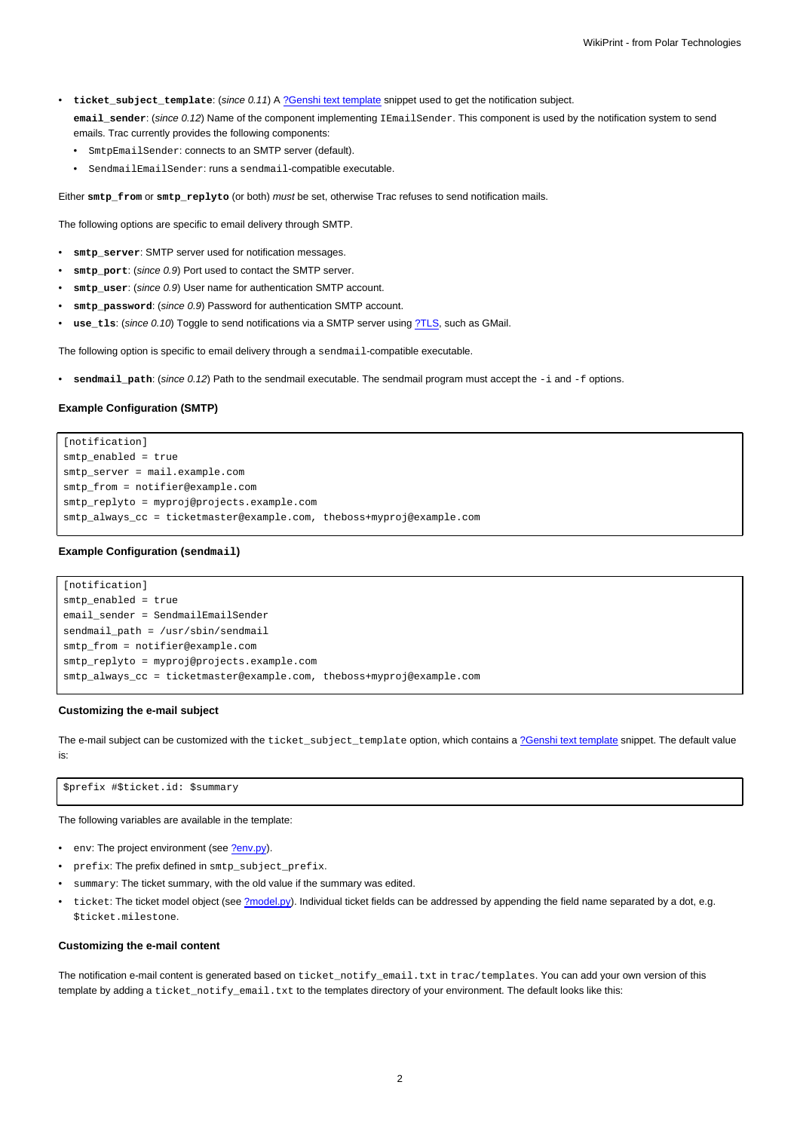- **ticket\_subject\_template**: (since 0.11) A [?Genshi text template](http://genshi.edgewall.org/wiki/Documentation/text-templates.html) snippet used to get the notification subject.
	- **email\_sender**: (since 0.12) Name of the component implementing IEmailSender. This component is used by the notification system to send emails. Trac currently provides the following components:
	- SmtpEmailSender: connects to an SMTP server (default).
	- SendmailEmailSender: runs a sendmail-compatible executable.

Either **smtp\_from** or **smtp\_replyto** (or both) must be set, otherwise Trac refuses to send notification mails.

The following options are specific to email delivery through SMTP.

- **smtp\_server**: SMTP server used for notification messages.
- smtp\_port: (since 0.9) Port used to contact the SMTP server.
- **smtp\_user**: (since 0.9) User name for authentication SMTP account.
- smtp password: (since 0.9) Password for authentication SMTP account.
- use\_tls: (since 0.10) Toggle to send notifications via a SMTP server using [?TLS,](http://en.wikipedia.org/wiki/Transport_Layer_Security) such as GMail.

The following option is specific to email delivery through a sendmail-compatible executable.

• **sendmail\_path**: (since 0.12) Path to the sendmail executable. The sendmail program must accept the -i and -f options.

# **Example Configuration (SMTP)**

[notification] smtp\_enabled = true smtp server = mail.example.com smtp from = notifier@example.com smtp\_replyto = myproj@projects.example.com smtp\_always\_cc = ticketmaster@example.com, theboss+myproj@example.com

## **Example Configuration (sendmail)**

```
[notification]
smtp_enabled = true
email sender = SendmailEmailSender
sendmail_path = /usr/sbin/sendmail
smtp_from = notifier@example.com
smtp_replyto = myproj@projects.example.com
smtp_always_cc = ticketmaster@example.com, theboss+myproj@example.com
```
# **Customizing the e-mail subject**

The e-mail subject can be customized with the ticket\_subject\_template option, which contains a [?Genshi text template](http://genshi.edgewall.org/wiki/Documentation/text-templates.html) snippet. The default value is:

\$prefix #\$ticket.id: \$summary

The following variables are available in the template:

- env: The project environment (see [?env.py](http://trac.edgewall.org/intertrac/source%3A/trunk/trac/env.py)).
- prefix: The prefix defined in smtp\_subject\_prefix.
- summary: The ticket summary, with the old value if the summary was edited.
- ticket: The ticket model object (see [?model.py](http://trac.edgewall.org/intertrac/source%3A/trunk/trac/ticket/model.py)). Individual ticket fields can be addressed by appending the field name separated by a dot, e.g. \$ticket.milestone.

## **Customizing the e-mail content**

The notification e-mail content is generated based on ticket\_notify\_email.txt in trac/templates. You can add your own version of this template by adding a ticket\_notify\_email.txt to the templates directory of your environment. The default looks like this: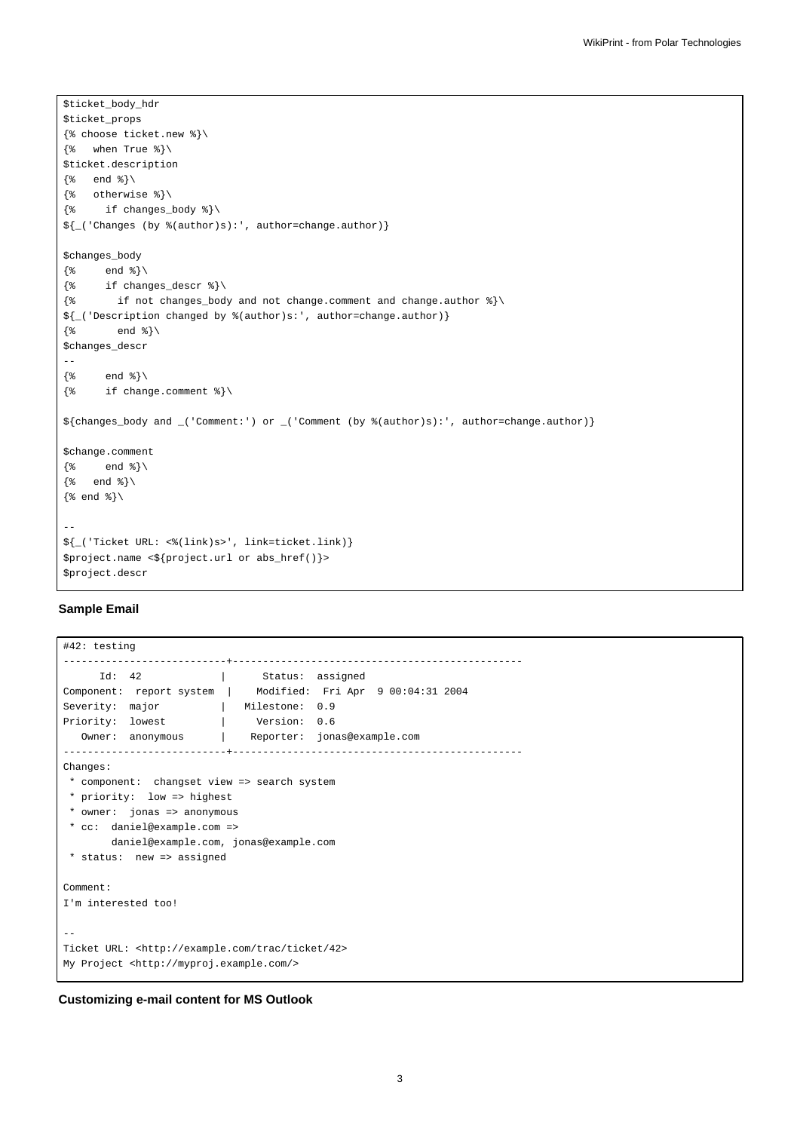```
$ticket_body_hdr
$ticket_props
{% choose ticket.new %}\
\{\text{``when True"\}\}$ticket.description
\{\% \quad \text{end } \$\setminus\\{\text{\textdegree}\} otherwise \text{\textdegree}\}\{\text{\text{*}} \quad \text{if changes\_body \text{\text{*}}}\}\${_('Changes (by %(author)s):', author=change.author)}
$changes_body
\{\ end \}\setminus\{\text{\$ if changes\_descr \$}\}\\{\ if not changes_body and not change.comment and change.author \{\ \}${_('Description changed by %(author)s:', author=change.author)}
\{\frac{1}{6} \qquad \text{end } \frac{1}{6} \}$changes_descr
--
\{\ end \{\}\\{\text{\textdegree}\} if change.comment \{\text{\textdegree}\}${changes_body and _('Comment:') or _('Comment (by %(author)s):', author=change.author)}
$change.comment
\{\ end \{\}\{% end %}\
\{\text{and } \text{}\}\setminus--
${_('Ticket URL: <%(link)s>', link=ticket.link)}
$project.name <${project.url or abs_href()}>
$project.descr
```
# **Sample Email**

```
#42: testing
---------------------------+------------------------------------------------
    Id: 42 | Status: assigned
Component: report system | Modified: Fri Apr 9 00:04:31 2004
Severity: major | Milestone: 0.9
Priority: lowest | Version: 0.6
 Owner: anonymous | Reporter: jonas@example.com
---------------------------+------------------------------------------------
Changes:
* component: changset view => search system
* priority: low => highest
* owner: jonas => anonymous
* cc: daniel@example.com =>
      daniel@example.com, jonas@example.com
* status: new => assigned
Comment:
I'm interested too!
--
Ticket URL: <http://example.com/trac/ticket/42>
My Project <http://myproj.example.com/>
```
# **Customizing e-mail content for MS Outlook**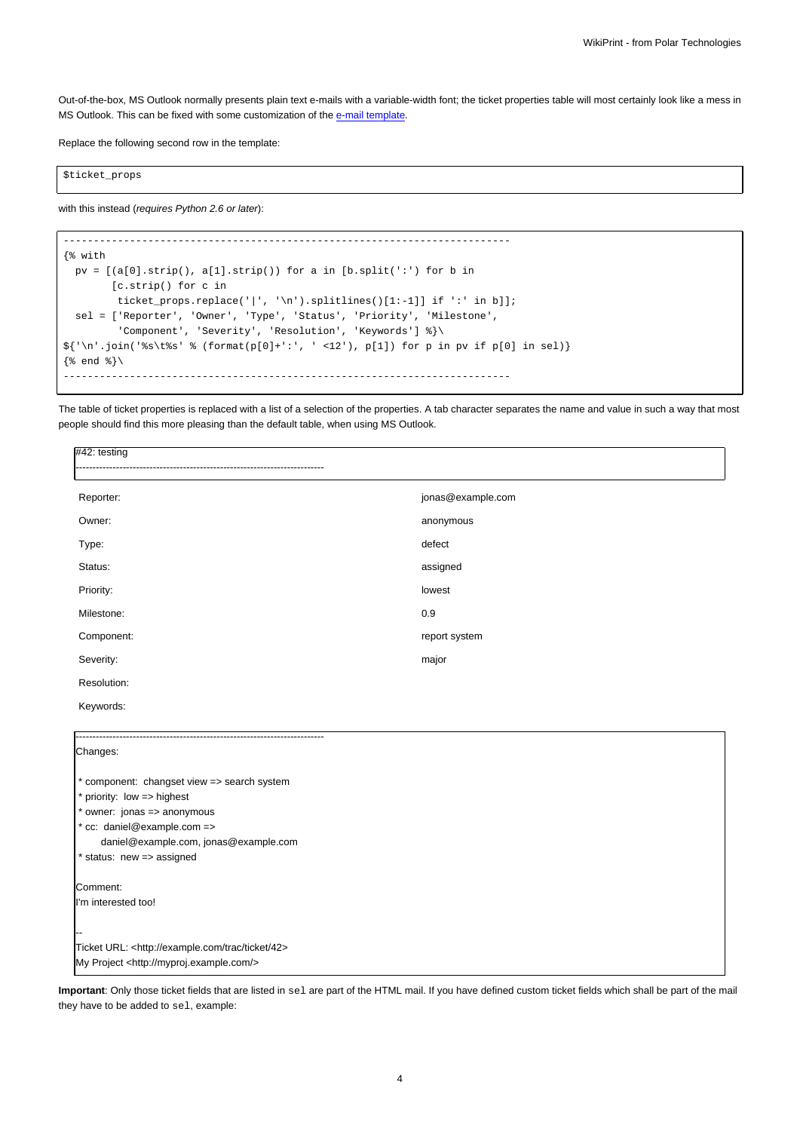Out-of-the-box, MS Outlook normally presents plain text e-mails with a variable-width font; the ticket properties table will most certainly look like a mess in MS Outlook. This can be fixed with some customization of the [e-mail template.](https://meteo.unican.es/trac/wiki/TracNotification#Customizingthee-mailcontent)

Replace the following second row in the template:

\$ticket\_props

with this instead (requires Python 2.6 or later):

```
--------------------------------------------------------------------------
{% with
 pv = [(a[0].strip(), a[1].strip()) for a in [b.split(':') for b in
        [c.strip() for c in
         ticket_props.replace('|', '\n').splitlines()[1:-1]] if ':' in b]];
 sel = ['Reporter', 'Owner', 'Type', 'Status', 'Priority', 'Milestone',
         'Component', 'Severity', 'Resolution', 'Keywords'] %}\
{\frac{\{(n^i\cdot i)(n^i\cdot j)\}}{j}} (format(p[0]+':', ' <12'), p[1]) for p in pv if p[0] in sel)}
\{\frac{1}{6} end \{\}\--------------------------------------------------------------------------
```
The table of ticket properties is replaced with a list of a selection of the properties. A tab character separates the name and value in such a way that most people should find this more pleasing than the default table, when using MS Outlook.

| $#42:$ testing                                             |                   |
|------------------------------------------------------------|-------------------|
| Reporter:                                                  | jonas@example.com |
| Owner:                                                     | anonymous         |
| Type:                                                      | defect            |
| Status:                                                    | assigned          |
| Priority:                                                  | lowest            |
| Milestone:                                                 | 0.9               |
| Component:                                                 | report system     |
| Severity:                                                  | major             |
| Resolution:                                                |                   |
| Keywords:                                                  |                   |
| Changes:                                                   |                   |
| * component: changset view => search system                |                   |
| * priority: low => highest                                 |                   |
| * owner: jonas => anonymous<br>* cc: daniel@example.com => |                   |
| daniel@example.com, jonas@example.com                      |                   |
| * status: new => assigned                                  |                   |

Comment:

I'm interested too!

-- Ticket URL: <http://example.com/trac/ticket/42> My Project <http://myproj.example.com/>

**Important**: Only those ticket fields that are listed in sel are part of the HTML mail. If you have defined custom ticket fields which shall be part of the mail they have to be added to sel, example: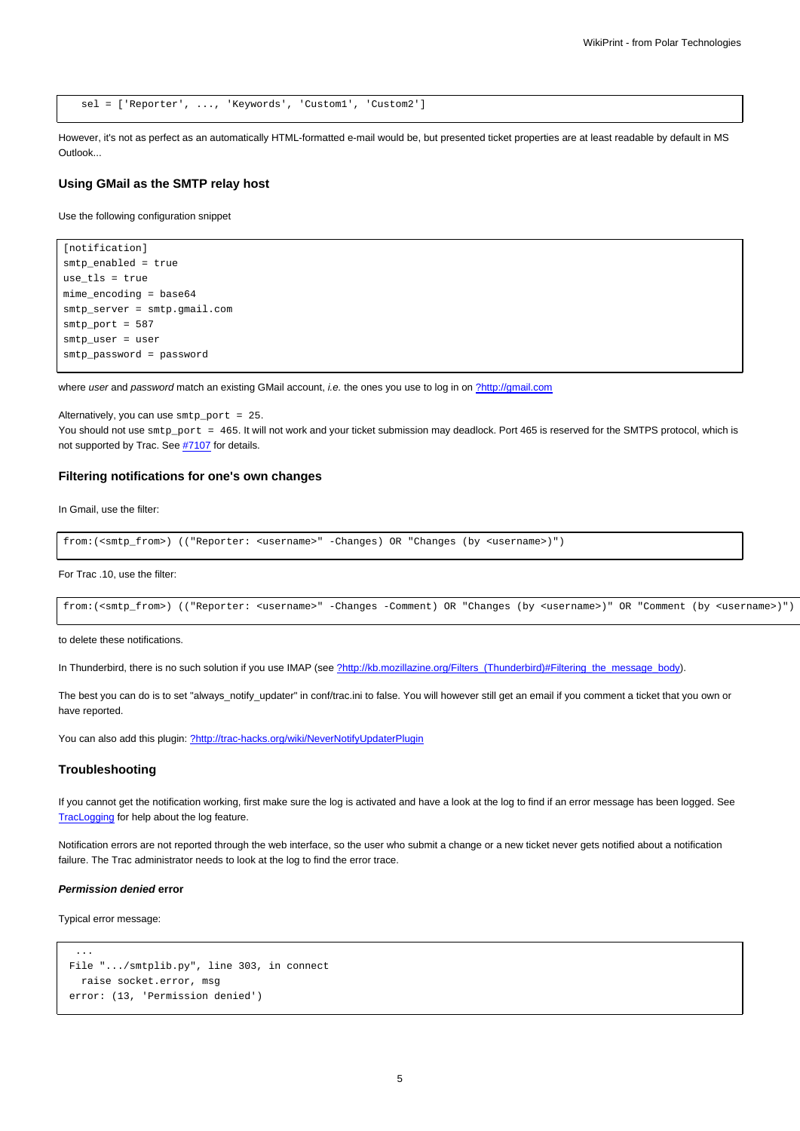```
sel = ['Reporter', ..., 'Keywords', 'Custom1', 'Custom2']
```
However, it's not as perfect as an automatically HTML-formatted e-mail would be, but presented ticket properties are at least readable by default in MS Outlook...

# **Using GMail as the SMTP relay host**

Use the following configuration snippet

```
[notification]
smtp_enabled = true
use_tls = true
mime_encoding = base64
smtp_server = smtp.gmail.com
smtp_port = 587
smtp_user = user
smtp_password = password
```
where user and password match an existing GMail account, i.e. the ones you use to log in on [?http://gmail.com](http://gmail.com)

Alternatively, you can use smtp\_port = 25. You should not use  $\text{sntp\_port} = 465$ . It will not work and your ticket submission may deadlock. Port 465 is reserved for the SMTPS protocol, which is not supported by Trac. See #7107 for details.

# **Filtering notifications for one's own changes**

In Gmail, use the filter:

```
from:(<smtp_from>) (("Reporter: <username>" -Changes) OR "Changes (by <username>)")
```
For Trac .10, use the filter:

```
from:(<smtp_from>) (("Reporter: <username>" -Changes -Comment) OR "Changes (by <username>)" OR "Comment (by <username>)")
```
to delete these notifications.

In Thunderbird, there is no such solution if you use IMAP (see [?http://kb.mozillazine.org/Filters\\_\(Thunderbird\)#Filtering\\_the\\_message\\_body](http://kb.mozillazine.org/Filters_(Thunderbird)#Filtering_the_message_body)).

The best you can do is to set "always\_notify\_updater" in conf/trac.ini to false. You will however still get an email if you comment a ticket that you own or have reported.

You can also add this plugin: [?http://trac-hacks.org/wiki/NeverNotifyUpdaterPlugin](http://trac-hacks.org/wiki/NeverNotifyUpdaterPlugin)

# **Troubleshooting**

If you cannot get the notification working, first make sure the log is activated and have a look at the log to find if an error message has been logged. See [TracLogging](https://meteo.unican.es/trac/wiki/TracLogging) for help about the log feature.

Notification errors are not reported through the web interface, so the user who submit a change or a new ticket never gets notified about a notification failure. The Trac administrator needs to look at the log to find the error trace.

# **Permission denied error**

Typical error message:

```
...
File ".../smtplib.py", line 303, in connect
  raise socket.error, msg
error: (13, 'Permission denied')
```